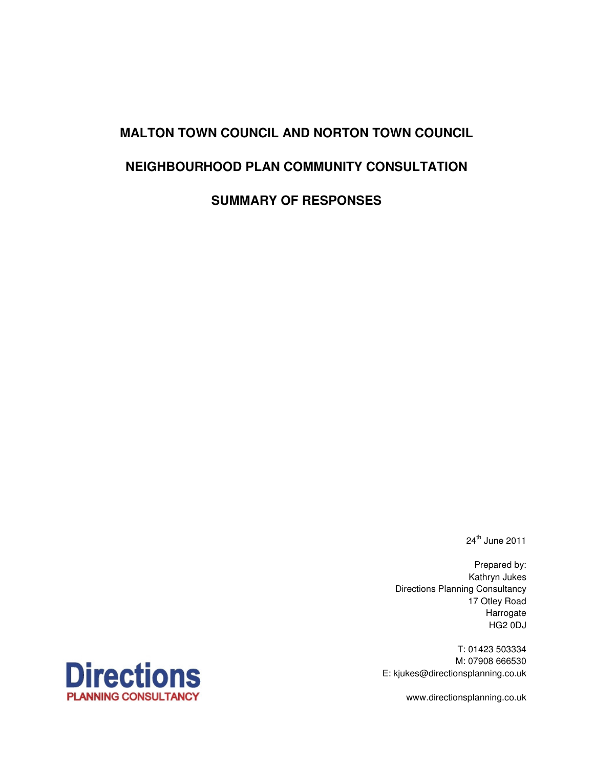# **MALTON TOWN COUNCIL AND NORTON TOWN COUNCIL NEIGHBOURHOOD PLAN COMMUNITY CONSULTATION SUMMARY OF RESPONSES**

 $24<sup>th</sup>$  June 2011

Prepared by: Kathryn Jukes Directions Planning Consultancy 17 Otley Road Harrogate HG2 0DJ

T: 01423 503334 M: 07908 666530 E: kjukes@directionsplanning.co.uk



www.directionsplanning.co.uk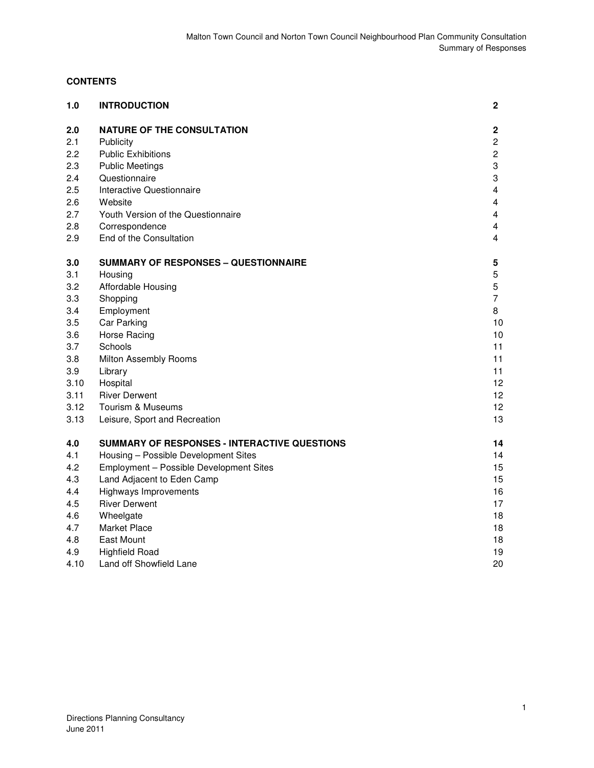# **CONTENTS**

| 1.0  | <b>INTRODUCTION</b>                          | 2                       |
|------|----------------------------------------------|-------------------------|
| 2.0  | <b>NATURE OF THE CONSULTATION</b>            | $\mathbf 2$             |
| 2.1  | Publicity                                    | $\overline{c}$          |
| 2.2  | <b>Public Exhibitions</b>                    | $\overline{c}$          |
| 2.3  | <b>Public Meetings</b>                       | 3                       |
| 2.4  | Questionnaire                                | 3                       |
| 2.5  | Interactive Questionnaire                    | $\overline{\mathbf{4}}$ |
| 2.6  | Website                                      | 4                       |
| 2.7  | Youth Version of the Questionnaire           | 4                       |
| 2.8  | Correspondence                               | 4                       |
| 2.9  | End of the Consultation                      | 4                       |
| 3.0  | <b>SUMMARY OF RESPONSES – QUESTIONNAIRE</b>  | 5                       |
| 3.1  | Housing                                      | 5                       |
| 3.2  | Affordable Housing                           | 5                       |
| 3.3  | Shopping                                     | 7                       |
| 3.4  | Employment                                   | 8                       |
| 3.5  | Car Parking                                  | 10                      |
| 3.6  | Horse Racing                                 | 10                      |
| 3.7  | Schools                                      | 11                      |
| 3.8  | Milton Assembly Rooms                        | 11                      |
| 3.9  | Library                                      | 11                      |
| 3.10 | Hospital                                     | 12                      |
| 3.11 | <b>River Derwent</b>                         | 12                      |
| 3.12 | <b>Tourism &amp; Museums</b>                 | 12                      |
| 3.13 | Leisure, Sport and Recreation                | 13                      |
| 4.0  | SUMMARY OF RESPONSES - INTERACTIVE QUESTIONS | 14                      |
| 4.1  | Housing - Possible Development Sites         | 14                      |
| 4.2  | Employment - Possible Development Sites      | 15                      |
| 4.3  | Land Adjacent to Eden Camp                   | 15                      |
| 4.4  | <b>Highways Improvements</b>                 | 16                      |
| 4.5  | <b>River Derwent</b>                         | 17                      |
| 4.6  | Wheelgate                                    | 18                      |
| 4.7  | <b>Market Place</b>                          | 18                      |
| 4.8  | <b>East Mount</b>                            | 18                      |
| 4.9  | <b>Highfield Road</b>                        | 19                      |
| 4.10 | Land off Showfield Lane                      | 20                      |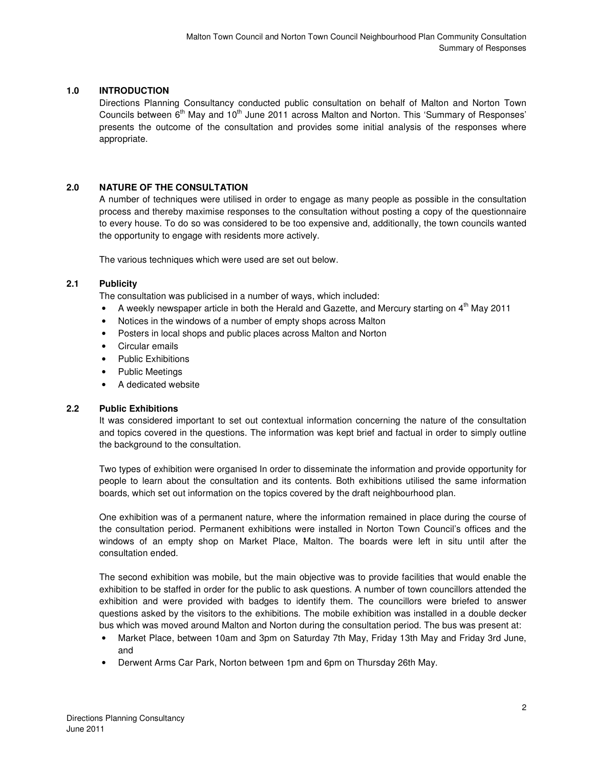# **1.0 INTRODUCTION**

Directions Planning Consultancy conducted public consultation on behalf of Malton and Norton Town Councils between  $6<sup>th</sup>$  May and  $10<sup>th</sup>$  June 2011 across Malton and Norton. This 'Summary of Responses' presents the outcome of the consultation and provides some initial analysis of the responses where appropriate.

#### **2.0 NATURE OF THE CONSULTATION**

A number of techniques were utilised in order to engage as many people as possible in the consultation process and thereby maximise responses to the consultation without posting a copy of the questionnaire to every house. To do so was considered to be too expensive and, additionally, the town councils wanted the opportunity to engage with residents more actively.

The various techniques which were used are set out below.

#### **2.1 Publicity**

The consultation was publicised in a number of ways, which included:

- A weekly newspaper article in both the Herald and Gazette, and Mercury starting on  $4<sup>th</sup>$  May 2011
- Notices in the windows of a number of empty shops across Malton
- Posters in local shops and public places across Malton and Norton
- Circular emails
- Public Exhibitions
- Public Meetings
- A dedicated website

#### **2.2 Public Exhibitions**

It was considered important to set out contextual information concerning the nature of the consultation and topics covered in the questions. The information was kept brief and factual in order to simply outline the background to the consultation.

Two types of exhibition were organised In order to disseminate the information and provide opportunity for people to learn about the consultation and its contents. Both exhibitions utilised the same information boards, which set out information on the topics covered by the draft neighbourhood plan.

One exhibition was of a permanent nature, where the information remained in place during the course of the consultation period. Permanent exhibitions were installed in Norton Town Council's offices and the windows of an empty shop on Market Place, Malton. The boards were left in situ until after the consultation ended.

The second exhibition was mobile, but the main objective was to provide facilities that would enable the exhibition to be staffed in order for the public to ask questions. A number of town councillors attended the exhibition and were provided with badges to identify them. The councillors were briefed to answer questions asked by the visitors to the exhibitions. The mobile exhibition was installed in a double decker bus which was moved around Malton and Norton during the consultation period. The bus was present at:

- Market Place, between 10am and 3pm on Saturday 7th May, Friday 13th May and Friday 3rd June, and
- Derwent Arms Car Park, Norton between 1pm and 6pm on Thursday 26th May.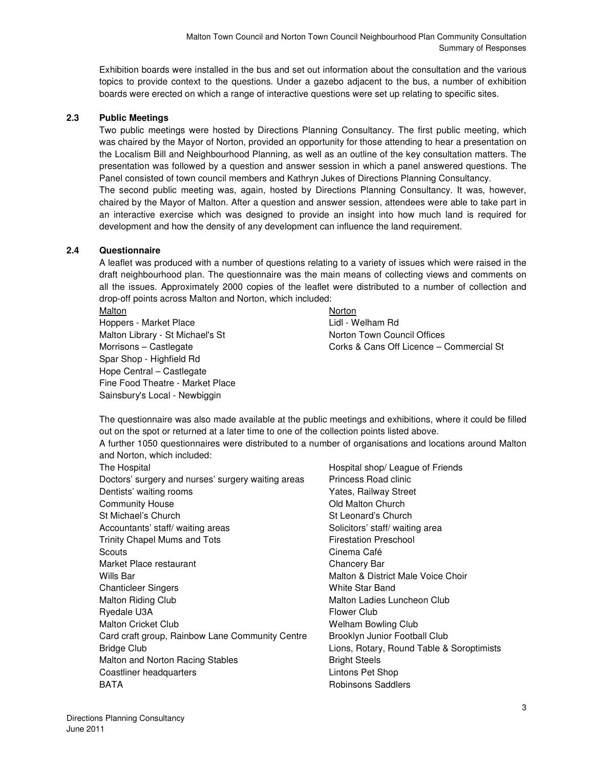Exhibition boards were installed in the bus and set out information about the consultation and the various topics to provide context to the questions. Under a gazebo adjacent to the bus, a number of exhibition boards were erected on which a range of interactive questions were set up relating to specific sites.

# **2.3 Public Meetings**

Two public meetings were hosted by Directions Planning Consultancy. The first public meeting, which was chaired by the Mayor of Norton, provided an opportunity for those attending to hear a presentation on the Localism Bill and Neighbourhood Planning, as well as an outline of the key consultation matters. The presentation was followed by a question and answer session in which a panel answered questions. The Panel consisted of town council members and Kathryn Jukes of Directions Planning Consultancy.

The second public meeting was, again, hosted by Directions Planning Consultancy. It was, however, chaired by the Mayor of Malton. After a question and answer session, attendees were able to take part in an interactive exercise which was designed to provide an insight into how much land is required for development and how the density of any development can influence the land requirement.

# **2.4 Questionnaire**

A leaflet was produced with a number of questions relating to a variety of issues which were raised in the draft neighbourhood plan. The questionnaire was the main means of collecting views and comments on all the issues. Approximately 2000 copies of the leaflet were distributed to a number of collection and drop-off points across Malton and Norton, which included:

Malton Norton Norton Norton Norton Norton Norton Norton Norton Norton Norton Norton Norton Norton Norton Norton Norton Norton Norton Norton Norton Norton Norton Norton Norton Norton Norton Norton Norton Norton Norton Norto Hoppers - Market Place Lidl - Welham Rd Malton Library - St Michael's St Norton Town Council Offices Spar Shop - Highfield Rd Hope Central – Castlegate Fine Food Theatre - Market Place Sainsbury's Local - Newbiggin

Morrisons – Castlegate Corks & Cans Off Licence – Commercial St

The questionnaire was also made available at the public meetings and exhibitions, where it could be filled out on the spot or returned at a later time to one of the collection points listed above.

A further 1050 questionnaires were distributed to a number of organisations and locations around Malton and Norton, which included:

| The Hospital                                       |
|----------------------------------------------------|
| Doctors' surgery and nurses' surgery waiting areas |
| Dentists' waiting rooms                            |
| <b>Community House</b>                             |
| St Michael's Church                                |
| Accountants' staff/waiting areas                   |
| <b>Trinity Chapel Mums and Tots</b>                |
| Scouts                                             |
| Market Place restaurant                            |
| Wills Bar                                          |
| <b>Chanticleer Singers</b>                         |
| <b>Malton Riding Club</b>                          |
| Ryedale U3A                                        |
| <b>Malton Cricket Club</b>                         |
| Card craft group, Rainbow Lane Community Centre    |
| <b>Bridge Club</b>                                 |
| Malton and Norton Racing Stables                   |
| Coastliner headquarters                            |
| BATA                                               |

Hospital shop/ League of Friends Princess Road clinic Yates, Railway Street **Old Malton Church** St Leonard's Church Solicitors' staff/ waiting area **Firestation Preschool** Cinema Café Chancery Bar Malton & District Male Voice Choir **White Star Band** Malton Ladies Luncheon Club **Flower Club** Welham Bowling Club Brooklyn Junior Football Club Lions, Rotary, Round Table & Soroptimists **Bright Steels** Lintons Pet Shop **Robinsons Saddlers**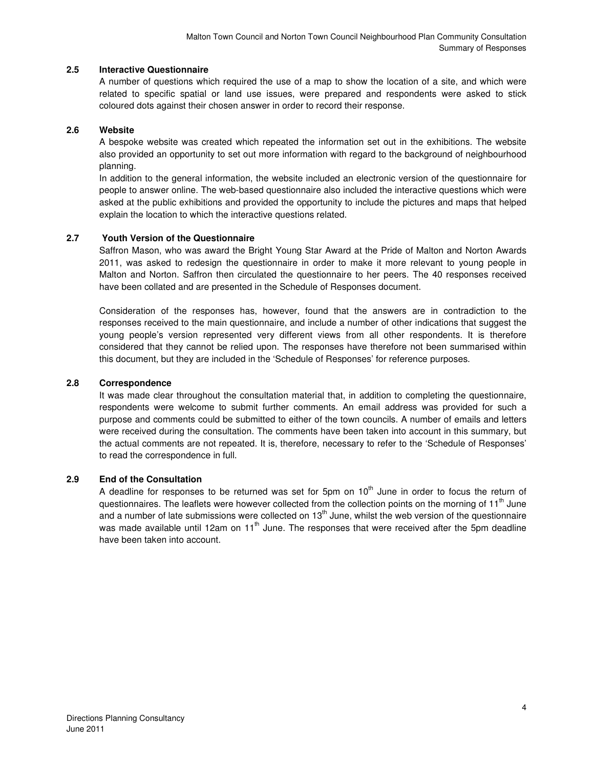#### **2.5 Interactive Questionnaire**

A number of questions which required the use of a map to show the location of a site, and which were related to specific spatial or land use issues, were prepared and respondents were asked to stick coloured dots against their chosen answer in order to record their response.

#### **2.6 Website**

A bespoke website was created which repeated the information set out in the exhibitions. The website also provided an opportunity to set out more information with regard to the background of neighbourhood planning.

In addition to the general information, the website included an electronic version of the questionnaire for people to answer online. The web-based questionnaire also included the interactive questions which were asked at the public exhibitions and provided the opportunity to include the pictures and maps that helped explain the location to which the interactive questions related.

# **2.7 Youth Version of the Questionnaire**

Saffron Mason, who was award the Bright Young Star Award at the Pride of Malton and Norton Awards 2011, was asked to redesign the questionnaire in order to make it more relevant to young people in Malton and Norton. Saffron then circulated the questionnaire to her peers. The 40 responses received have been collated and are presented in the Schedule of Responses document.

Consideration of the responses has, however, found that the answers are in contradiction to the responses received to the main questionnaire, and include a number of other indications that suggest the young people's version represented very different views from all other respondents. It is therefore considered that they cannot be relied upon. The responses have therefore not been summarised within this document, but they are included in the 'Schedule of Responses' for reference purposes.

#### **2.8 Correspondence**

It was made clear throughout the consultation material that, in addition to completing the questionnaire, respondents were welcome to submit further comments. An email address was provided for such a purpose and comments could be submitted to either of the town councils. A number of emails and letters were received during the consultation. The comments have been taken into account in this summary, but the actual comments are not repeated. It is, therefore, necessary to refer to the 'Schedule of Responses' to read the correspondence in full.

# **2.9 End of the Consultation**

A deadline for responses to be returned was set for 5pm on  $10<sup>th</sup>$  June in order to focus the return of questionnaires. The leaflets were however collected from the collection points on the morning of 11<sup>th</sup> June and a number of late submissions were collected on  $13<sup>th</sup>$  June, whilst the web version of the questionnaire was made available until 12am on 11<sup>th</sup> June. The responses that were received after the 5pm deadline have been taken into account.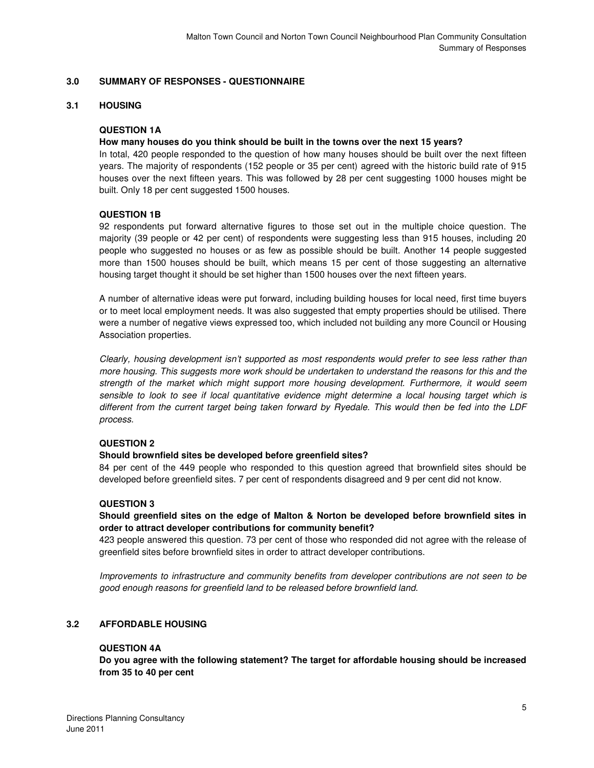#### **3.0 SUMMARY OF RESPONSES - QUESTIONNAIRE**

#### **3.1 HOUSING**

#### **QUESTION 1A**

#### **How many houses do you think should be built in the towns over the next 15 years?**

In total, 420 people responded to the question of how many houses should be built over the next fifteen years. The majority of respondents (152 people or 35 per cent) agreed with the historic build rate of 915 houses over the next fifteen years. This was followed by 28 per cent suggesting 1000 houses might be built. Only 18 per cent suggested 1500 houses.

#### **QUESTION 1B**

92 respondents put forward alternative figures to those set out in the multiple choice question. The majority (39 people or 42 per cent) of respondents were suggesting less than 915 houses, including 20 people who suggested no houses or as few as possible should be built. Another 14 people suggested more than 1500 houses should be built, which means 15 per cent of those suggesting an alternative housing target thought it should be set higher than 1500 houses over the next fifteen years.

A number of alternative ideas were put forward, including building houses for local need, first time buyers or to meet local employment needs. It was also suggested that empty properties should be utilised. There were a number of negative views expressed too, which included not building any more Council or Housing Association properties.

Clearly, housing development isn't supported as most respondents would prefer to see less rather than more housing. This suggests more work should be undertaken to understand the reasons for this and the strength of the market which might support more housing development. Furthermore, it would seem sensible to look to see if local quantitative evidence might determine a local housing target which is different from the current target being taken forward by Ryedale. This would then be fed into the LDF process.

#### **QUESTION 2**

#### **Should brownfield sites be developed before greenfield sites?**

84 per cent of the 449 people who responded to this question agreed that brownfield sites should be developed before greenfield sites. 7 per cent of respondents disagreed and 9 per cent did not know.

# **QUESTION 3**

# **Should greenfield sites on the edge of Malton & Norton be developed before brownfield sites in order to attract developer contributions for community benefit?**

423 people answered this question. 73 per cent of those who responded did not agree with the release of greenfield sites before brownfield sites in order to attract developer contributions.

Improvements to infrastructure and community benefits from developer contributions are not seen to be good enough reasons for greenfield land to be released before brownfield land.

#### **3.2 AFFORDABLE HOUSING**

#### **QUESTION 4A**

**Do you agree with the following statement? The target for affordable housing should be increased from 35 to 40 per cent**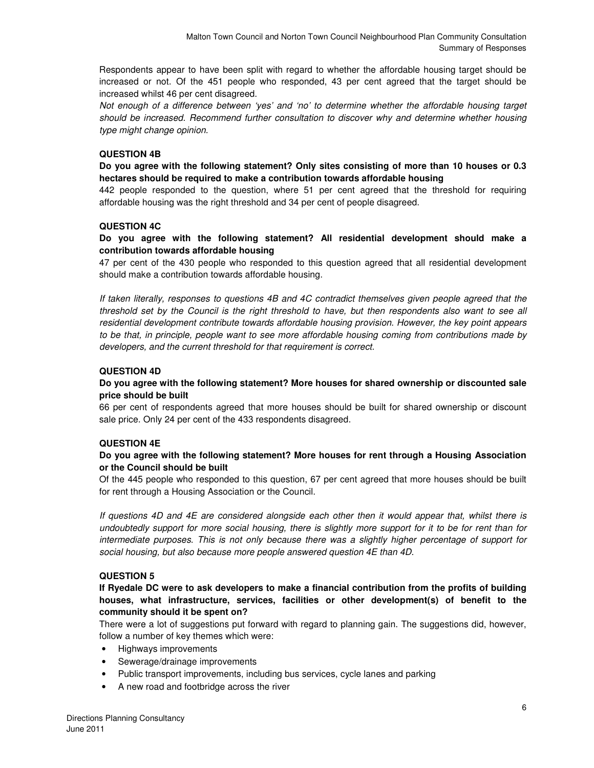Respondents appear to have been split with regard to whether the affordable housing target should be increased or not. Of the 451 people who responded, 43 per cent agreed that the target should be increased whilst 46 per cent disagreed.

Not enough of a difference between 'yes' and 'no' to determine whether the affordable housing target should be increased. Recommend further consultation to discover why and determine whether housing type might change opinion.

# **QUESTION 4B**

**Do you agree with the following statement? Only sites consisting of more than 10 houses or 0.3 hectares should be required to make a contribution towards affordable housing** 

442 people responded to the question, where 51 per cent agreed that the threshold for requiring affordable housing was the right threshold and 34 per cent of people disagreed.

#### **QUESTION 4C**

# **Do you agree with the following statement? All residential development should make a contribution towards affordable housing**

47 per cent of the 430 people who responded to this question agreed that all residential development should make a contribution towards affordable housing.

If taken literally, responses to questions 4B and 4C contradict themselves given people agreed that the threshold set by the Council is the right threshold to have, but then respondents also want to see all residential development contribute towards affordable housing provision. However, the key point appears to be that, in principle, people want to see more affordable housing coming from contributions made by developers, and the current threshold for that requirement is correct.

# **QUESTION 4D**

# **Do you agree with the following statement? More houses for shared ownership or discounted sale price should be built**

66 per cent of respondents agreed that more houses should be built for shared ownership or discount sale price. Only 24 per cent of the 433 respondents disagreed.

#### **QUESTION 4E**

# **Do you agree with the following statement? More houses for rent through a Housing Association or the Council should be built**

Of the 445 people who responded to this question, 67 per cent agreed that more houses should be built for rent through a Housing Association or the Council.

If questions 4D and 4E are considered alongside each other then it would appear that, whilst there is undoubtedly support for more social housing, there is slightly more support for it to be for rent than for intermediate purposes. This is not only because there was a slightly higher percentage of support for social housing, but also because more people answered question 4E than 4D.

#### **QUESTION 5**

#### **If Ryedale DC were to ask developers to make a financial contribution from the profits of building houses, what infrastructure, services, facilities or other development(s) of benefit to the community should it be spent on?**

There were a lot of suggestions put forward with regard to planning gain. The suggestions did, however, follow a number of key themes which were:

- Highways improvements
- Sewerage/drainage improvements
- Public transport improvements, including bus services, cycle lanes and parking
- A new road and footbridge across the river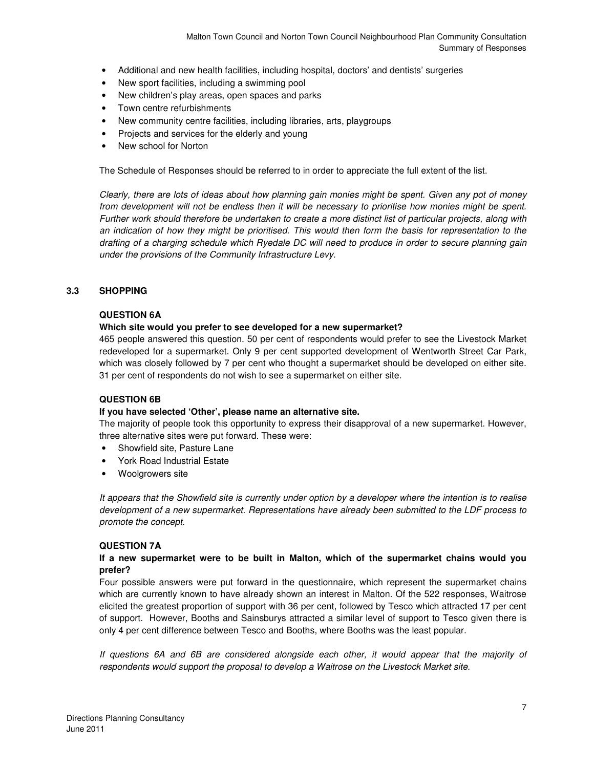- Additional and new health facilities, including hospital, doctors' and dentists' surgeries
- New sport facilities, including a swimming pool
- New children's play areas, open spaces and parks
- Town centre refurbishments
- New community centre facilities, including libraries, arts, playgroups
- Projects and services for the elderly and young
- New school for Norton

The Schedule of Responses should be referred to in order to appreciate the full extent of the list.

Clearly, there are lots of ideas about how planning gain monies might be spent. Given any pot of money from development will not be endless then it will be necessary to prioritise how monies might be spent. Further work should therefore be undertaken to create a more distinct list of particular projects, along with an indication of how they might be prioritised. This would then form the basis for representation to the drafting of a charging schedule which Ryedale DC will need to produce in order to secure planning gain under the provisions of the Community Infrastructure Levy.

#### **3.3 SHOPPING**

#### **QUESTION 6A**

#### **Which site would you prefer to see developed for a new supermarket?**

465 people answered this question. 50 per cent of respondents would prefer to see the Livestock Market redeveloped for a supermarket. Only 9 per cent supported development of Wentworth Street Car Park, which was closely followed by 7 per cent who thought a supermarket should be developed on either site. 31 per cent of respondents do not wish to see a supermarket on either site.

#### **QUESTION 6B**

#### **If you have selected 'Other', please name an alternative site.**

The majority of people took this opportunity to express their disapproval of a new supermarket. However, three alternative sites were put forward. These were:

- Showfield site, Pasture Lane
- York Road Industrial Estate
- Woolgrowers site

It appears that the Showfield site is currently under option by a developer where the intention is to realise development of a new supermarket. Representations have already been submitted to the LDF process to promote the concept.

#### **QUESTION 7A**

#### **If a new supermarket were to be built in Malton, which of the supermarket chains would you prefer?**

Four possible answers were put forward in the questionnaire, which represent the supermarket chains which are currently known to have already shown an interest in Malton. Of the 522 responses, Waitrose elicited the greatest proportion of support with 36 per cent, followed by Tesco which attracted 17 per cent of support. However, Booths and Sainsburys attracted a similar level of support to Tesco given there is only 4 per cent difference between Tesco and Booths, where Booths was the least popular.

If questions 6A and 6B are considered alongside each other, it would appear that the majority of respondents would support the proposal to develop a Waitrose on the Livestock Market site.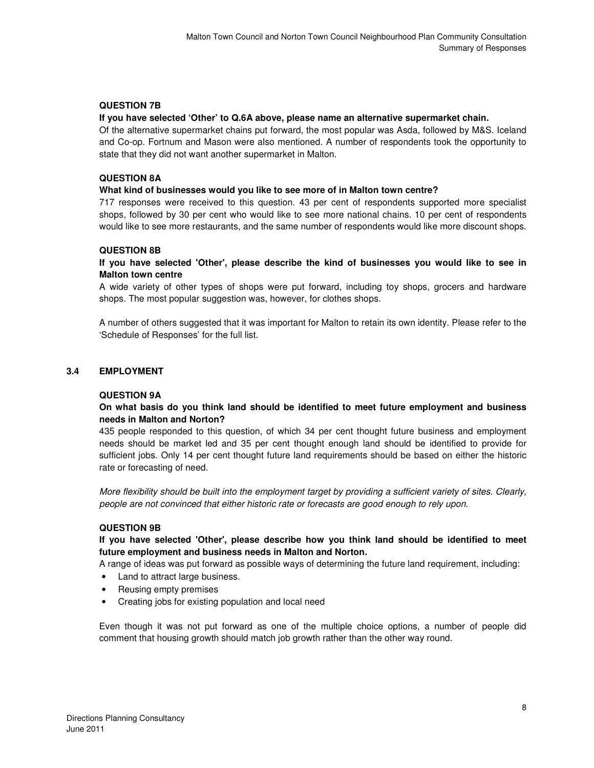# **QUESTION 7B**

#### **If you have selected 'Other' to Q.6A above, please name an alternative supermarket chain.**

Of the alternative supermarket chains put forward, the most popular was Asda, followed by M&S. Iceland and Co-op. Fortnum and Mason were also mentioned. A number of respondents took the opportunity to state that they did not want another supermarket in Malton.

#### **QUESTION 8A**

#### **What kind of businesses would you like to see more of in Malton town centre?**

717 responses were received to this question. 43 per cent of respondents supported more specialist shops, followed by 30 per cent who would like to see more national chains. 10 per cent of respondents would like to see more restaurants, and the same number of respondents would like more discount shops.

#### **QUESTION 8B**

# **If you have selected 'Other', please describe the kind of businesses you would like to see in Malton town centre**

A wide variety of other types of shops were put forward, including toy shops, grocers and hardware shops. The most popular suggestion was, however, for clothes shops.

A number of others suggested that it was important for Malton to retain its own identity. Please refer to the 'Schedule of Responses' for the full list.

#### **3.4 EMPLOYMENT**

#### **QUESTION 9A**

#### **On what basis do you think land should be identified to meet future employment and business needs in Malton and Norton?**

435 people responded to this question, of which 34 per cent thought future business and employment needs should be market led and 35 per cent thought enough land should be identified to provide for sufficient jobs. Only 14 per cent thought future land requirements should be based on either the historic rate or forecasting of need.

More flexibility should be built into the employment target by providing a sufficient variety of sites. Clearly, people are not convinced that either historic rate or forecasts are good enough to rely upon.

#### **QUESTION 9B**

# **If you have selected 'Other', please describe how you think land should be identified to meet future employment and business needs in Malton and Norton.**

A range of ideas was put forward as possible ways of determining the future land requirement, including:

- Land to attract large business.
- Reusing empty premises
- Creating jobs for existing population and local need

Even though it was not put forward as one of the multiple choice options, a number of people did comment that housing growth should match job growth rather than the other way round.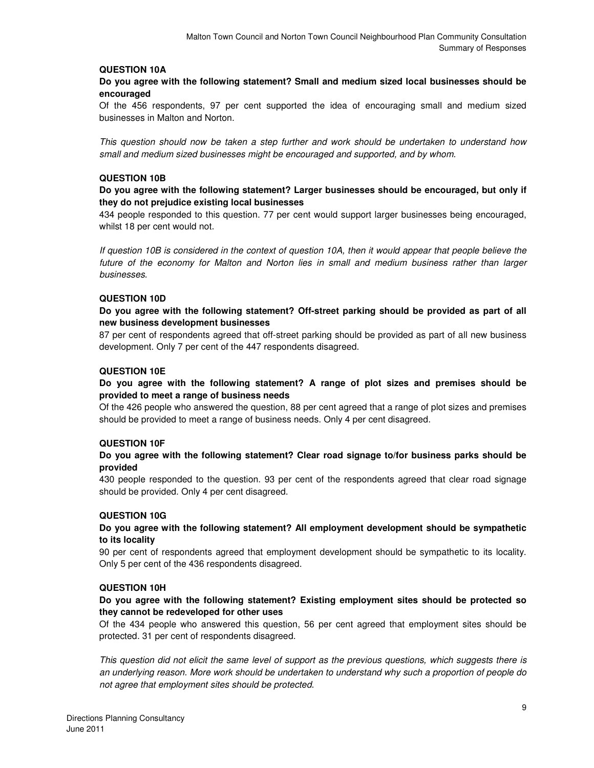#### **QUESTION 10A**

#### **Do you agree with the following statement? Small and medium sized local businesses should be encouraged**

Of the 456 respondents, 97 per cent supported the idea of encouraging small and medium sized businesses in Malton and Norton.

This question should now be taken a step further and work should be undertaken to understand how small and medium sized businesses might be encouraged and supported, and by whom.

#### **QUESTION 10B**

#### **Do you agree with the following statement? Larger businesses should be encouraged, but only if they do not prejudice existing local businesses**

434 people responded to this question. 77 per cent would support larger businesses being encouraged, whilst 18 per cent would not.

If question 10B is considered in the context of question 10A, then it would appear that people believe the future of the economy for Malton and Norton lies in small and medium business rather than larger businesses.

#### **QUESTION 10D**

#### **Do you agree with the following statement? Off-street parking should be provided as part of all new business development businesses**

87 per cent of respondents agreed that off-street parking should be provided as part of all new business development. Only 7 per cent of the 447 respondents disagreed.

#### **QUESTION 10E**

#### **Do you agree with the following statement? A range of plot sizes and premises should be provided to meet a range of business needs**

Of the 426 people who answered the question, 88 per cent agreed that a range of plot sizes and premises should be provided to meet a range of business needs. Only 4 per cent disagreed.

#### **QUESTION 10F**

#### **Do you agree with the following statement? Clear road signage to/for business parks should be provided**

430 people responded to the question. 93 per cent of the respondents agreed that clear road signage should be provided. Only 4 per cent disagreed.

#### **QUESTION 10G**

#### **Do you agree with the following statement? All employment development should be sympathetic to its locality**

90 per cent of respondents agreed that employment development should be sympathetic to its locality. Only 5 per cent of the 436 respondents disagreed.

#### **QUESTION 10H**

#### **Do you agree with the following statement? Existing employment sites should be protected so they cannot be redeveloped for other uses**

Of the 434 people who answered this question, 56 per cent agreed that employment sites should be protected. 31 per cent of respondents disagreed.

This question did not elicit the same level of support as the previous questions, which suggests there is an underlying reason. More work should be undertaken to understand why such a proportion of people do not agree that employment sites should be protected.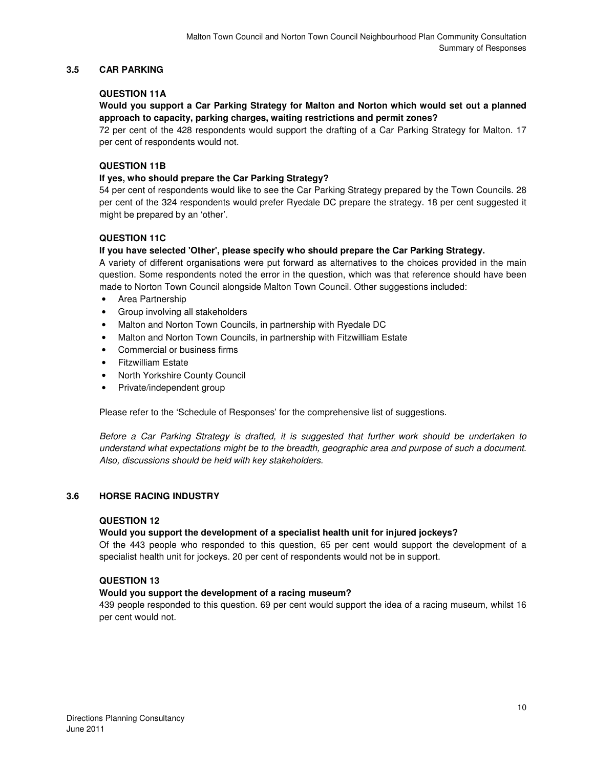# **3.5 CAR PARKING**

# **QUESTION 11A**

# **Would you support a Car Parking Strategy for Malton and Norton which would set out a planned approach to capacity, parking charges, waiting restrictions and permit zones?**

72 per cent of the 428 respondents would support the drafting of a Car Parking Strategy for Malton. 17 per cent of respondents would not.

#### **QUESTION 11B**

# **If yes, who should prepare the Car Parking Strategy?**

54 per cent of respondents would like to see the Car Parking Strategy prepared by the Town Councils. 28 per cent of the 324 respondents would prefer Ryedale DC prepare the strategy. 18 per cent suggested it might be prepared by an 'other'.

# **QUESTION 11C**

# **If you have selected 'Other', please specify who should prepare the Car Parking Strategy.**

A variety of different organisations were put forward as alternatives to the choices provided in the main question. Some respondents noted the error in the question, which was that reference should have been made to Norton Town Council alongside Malton Town Council. Other suggestions included:

- Area Partnership
- Group involving all stakeholders
- Malton and Norton Town Councils, in partnership with Ryedale DC
- Malton and Norton Town Councils, in partnership with Fitzwilliam Estate
- Commercial or business firms
- Fitzwilliam Estate
- North Yorkshire County Council
- Private/independent group

Please refer to the 'Schedule of Responses' for the comprehensive list of suggestions.

Before a Car Parking Strategy is drafted, it is suggested that further work should be undertaken to understand what expectations might be to the breadth, geographic area and purpose of such a document. Also, discussions should be held with key stakeholders.

#### **3.6 HORSE RACING INDUSTRY**

#### **QUESTION 12**

#### **Would you support the development of a specialist health unit for injured jockeys?**

Of the 443 people who responded to this question, 65 per cent would support the development of a specialist health unit for jockeys. 20 per cent of respondents would not be in support.

# **QUESTION 13**

#### **Would you support the development of a racing museum?**

439 people responded to this question. 69 per cent would support the idea of a racing museum, whilst 16 per cent would not.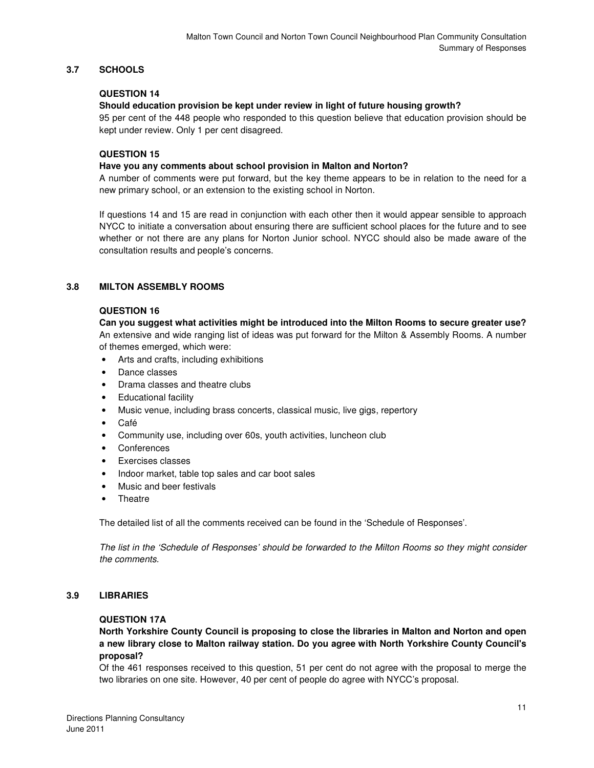# **3.7 SCHOOLS**

# **QUESTION 14**

# **Should education provision be kept under review in light of future housing growth?**

95 per cent of the 448 people who responded to this question believe that education provision should be kept under review. Only 1 per cent disagreed.

# **QUESTION 15**

#### **Have you any comments about school provision in Malton and Norton?**

A number of comments were put forward, but the key theme appears to be in relation to the need for a new primary school, or an extension to the existing school in Norton.

If questions 14 and 15 are read in conjunction with each other then it would appear sensible to approach NYCC to initiate a conversation about ensuring there are sufficient school places for the future and to see whether or not there are any plans for Norton Junior school. NYCC should also be made aware of the consultation results and people's concerns.

# **3.8 MILTON ASSEMBLY ROOMS**

#### **QUESTION 16**

# **Can you suggest what activities might be introduced into the Milton Rooms to secure greater use?**

An extensive and wide ranging list of ideas was put forward for the Milton & Assembly Rooms. A number of themes emerged, which were:

- Arts and crafts, including exhibitions
- Dance classes
- Drama classes and theatre clubs
- Educational facility
- Music venue, including brass concerts, classical music, live gigs, repertory
- Café
- Community use, including over 60s, youth activities, luncheon club
- **Conferences**
- Exercises classes
- Indoor market, table top sales and car boot sales
- Music and beer festivals
- Theatre

The detailed list of all the comments received can be found in the 'Schedule of Responses'.

The list in the 'Schedule of Responses' should be forwarded to the Milton Rooms so they might consider the comments.

#### **3.9 LIBRARIES**

#### **QUESTION 17A**

**North Yorkshire County Council is proposing to close the libraries in Malton and Norton and open a new library close to Malton railway station. Do you agree with North Yorkshire County Council's proposal?** 

Of the 461 responses received to this question, 51 per cent do not agree with the proposal to merge the two libraries on one site. However, 40 per cent of people do agree with NYCC's proposal.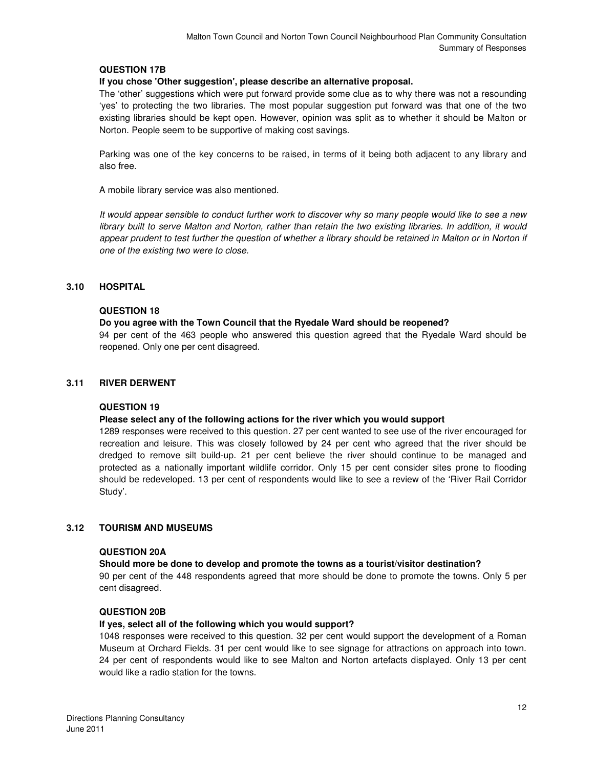# **QUESTION 17B**

#### **If you chose 'Other suggestion', please describe an alternative proposal.**

The 'other' suggestions which were put forward provide some clue as to why there was not a resounding 'yes' to protecting the two libraries. The most popular suggestion put forward was that one of the two existing libraries should be kept open. However, opinion was split as to whether it should be Malton or Norton. People seem to be supportive of making cost savings.

Parking was one of the key concerns to be raised, in terms of it being both adjacent to any library and also free.

A mobile library service was also mentioned.

It would appear sensible to conduct further work to discover why so many people would like to see a new library built to serve Malton and Norton, rather than retain the two existing libraries. In addition, it would appear prudent to test further the question of whether a library should be retained in Malton or in Norton if one of the existing two were to close.

#### **3.10 HOSPITAL**

#### **QUESTION 18**

#### **Do you agree with the Town Council that the Ryedale Ward should be reopened?**

94 per cent of the 463 people who answered this question agreed that the Ryedale Ward should be reopened. Only one per cent disagreed.

#### **3.11 RIVER DERWENT**

#### **QUESTION 19**

#### **Please select any of the following actions for the river which you would support**

1289 responses were received to this question. 27 per cent wanted to see use of the river encouraged for recreation and leisure. This was closely followed by 24 per cent who agreed that the river should be dredged to remove silt build-up. 21 per cent believe the river should continue to be managed and protected as a nationally important wildlife corridor. Only 15 per cent consider sites prone to flooding should be redeveloped. 13 per cent of respondents would like to see a review of the 'River Rail Corridor Study'.

#### **3.12 TOURISM AND MUSEUMS**

#### **QUESTION 20A**

#### **Should more be done to develop and promote the towns as a tourist/visitor destination?**

90 per cent of the 448 respondents agreed that more should be done to promote the towns. Only 5 per cent disagreed.

#### **QUESTION 20B**

#### **If yes, select all of the following which you would support?**

1048 responses were received to this question. 32 per cent would support the development of a Roman Museum at Orchard Fields. 31 per cent would like to see signage for attractions on approach into town. 24 per cent of respondents would like to see Malton and Norton artefacts displayed. Only 13 per cent would like a radio station for the towns.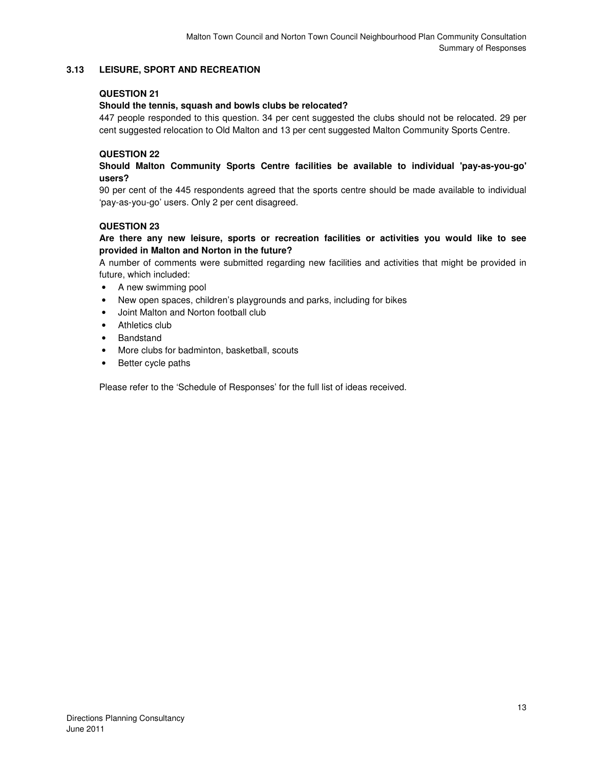# **3.13 LEISURE, SPORT AND RECREATION**

# **QUESTION 21**

#### **Should the tennis, squash and bowls clubs be relocated?**

447 people responded to this question. 34 per cent suggested the clubs should not be relocated. 29 per cent suggested relocation to Old Malton and 13 per cent suggested Malton Community Sports Centre.

# **QUESTION 22**

# **Should Malton Community Sports Centre facilities be available to individual 'pay-as-you-go' users?**

90 per cent of the 445 respondents agreed that the sports centre should be made available to individual 'pay-as-you-go' users. Only 2 per cent disagreed.

# **QUESTION 23**

# **Are there any new leisure, sports or recreation facilities or activities you would like to see provided in Malton and Norton in the future?**

A number of comments were submitted regarding new facilities and activities that might be provided in future, which included:

- A new swimming pool
- New open spaces, children's playgrounds and parks, including for bikes
- Joint Malton and Norton football club
- Athletics club
- **Bandstand**
- More clubs for badminton, basketball, scouts
- Better cycle paths

Please refer to the 'Schedule of Responses' for the full list of ideas received.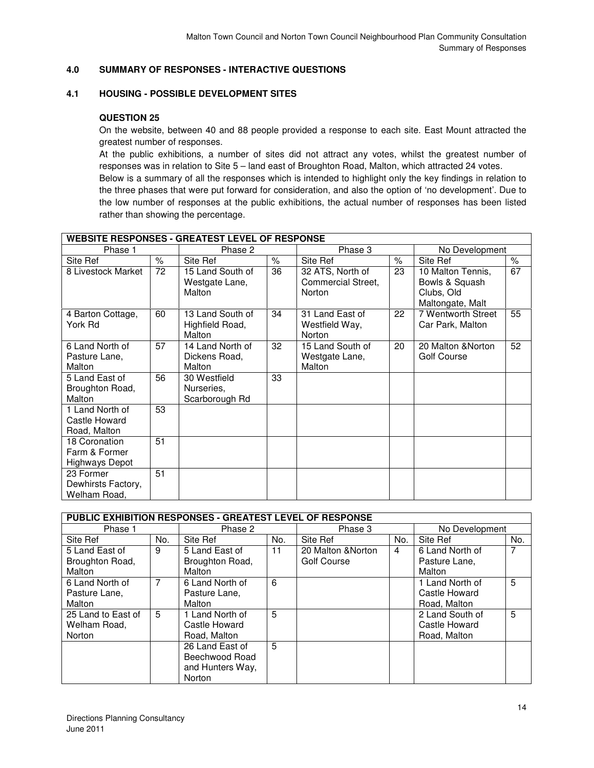# **4.0 SUMMARY OF RESPONSES - INTERACTIVE QUESTIONS**

# **4.1 HOUSING - POSSIBLE DEVELOPMENT SITES**

#### **QUESTION 25**

On the website, between 40 and 88 people provided a response to each site. East Mount attracted the greatest number of responses.

At the public exhibitions, a number of sites did not attract any votes, whilst the greatest number of responses was in relation to Site 5 – land east of Broughton Road, Malton, which attracted 24 votes.

Below is a summary of all the responses which is intended to highlight only the key findings in relation to the three phases that were put forward for consideration, and also the option of 'no development'. Due to the low number of responses at the public exhibitions, the actual number of responses has been listed rather than showing the percentage.

| <b>WEBSITE RESPONSES - GREATEST LEVEL OF RESPONSE</b>   |      |                                               |      |                                                  |      |                                                                       |      |  |
|---------------------------------------------------------|------|-----------------------------------------------|------|--------------------------------------------------|------|-----------------------------------------------------------------------|------|--|
| Phase 1                                                 |      | Phase 2                                       |      | Phase 3                                          |      | No Development                                                        |      |  |
| Site Ref                                                | $\%$ | Site Ref                                      | $\%$ | Site Ref                                         | $\%$ | Site Ref                                                              | $\%$ |  |
| 8 Livestock Market                                      | 72   | 15 Land South of<br>Westgate Lane,<br>Malton  | 36   | 32 ATS, North of<br>Commercial Street.<br>Norton | 23   | 10 Malton Tennis,<br>Bowls & Squash<br>Clubs, Old<br>Maltongate, Malt | 67   |  |
| 4 Barton Cottage,<br>York Rd                            | 60   | 13 Land South of<br>Highfield Road,<br>Malton | 34   | 31 Land East of<br>Westfield Way,<br>Norton      | 22   | 7 Wentworth Street<br>Car Park, Malton                                | 55   |  |
| 6 Land North of<br>Pasture Lane,<br>Malton              | 57   | 14 Land North of<br>Dickens Road,<br>Malton   | 32   | 15 Land South of<br>Westgate Lane,<br>Malton     | 20   | 20 Malton & Norton<br>Golf Course                                     | 52   |  |
| 5 Land East of<br>Broughton Road,<br>Malton             | 56   | 30 Westfield<br>Nurseries,<br>Scarborough Rd  | 33   |                                                  |      |                                                                       |      |  |
| 1 Land North of<br>Castle Howard<br>Road, Malton        | 53   |                                               |      |                                                  |      |                                                                       |      |  |
| 18 Coronation<br>Farm & Former<br><b>Highways Depot</b> | 51   |                                               |      |                                                  |      |                                                                       |      |  |
| 23 Former<br>Dewhirsts Factory,<br>Welham Road,         | 51   |                                               |      |                                                  |      |                                                                       |      |  |

# **PUBLIC EXHIBITION RESPONSES - GREATEST LEVEL OF RESPONSE**

| Phase 1            |     | Phase 2          |     | Phase 3            |     | No Development  |     |
|--------------------|-----|------------------|-----|--------------------|-----|-----------------|-----|
| Site Ref           | No. | Site Ref         | No. | Site Ref           | No. | Site Ref        | No. |
| 5 Land East of     | 9   | 5 Land East of   | 11  | 20 Malton & Norton | 4   | 6 Land North of |     |
| Broughton Road,    |     | Broughton Road,  |     | Golf Course        |     | Pasture Lane.   |     |
| Malton             |     | Malton           |     |                    |     | Malton          |     |
| 6 Land North of    | 7   | 6 Land North of  | 6   |                    |     | 1 Land North of | 5   |
| Pasture Lane.      |     | Pasture Lane,    |     |                    |     | Castle Howard   |     |
| Malton             |     | Malton           |     |                    |     | Road, Malton    |     |
| 25 Land to East of | 5   | 1 Land North of  | 5   |                    |     | 2 Land South of | 5   |
| Welham Road,       |     | Castle Howard    |     |                    |     | Castle Howard   |     |
| Norton             |     | Road, Malton     |     |                    |     | Road, Malton    |     |
|                    |     | 26 Land East of  | 5   |                    |     |                 |     |
|                    |     | Beechwood Road   |     |                    |     |                 |     |
|                    |     | and Hunters Way, |     |                    |     |                 |     |
|                    |     | Norton           |     |                    |     |                 |     |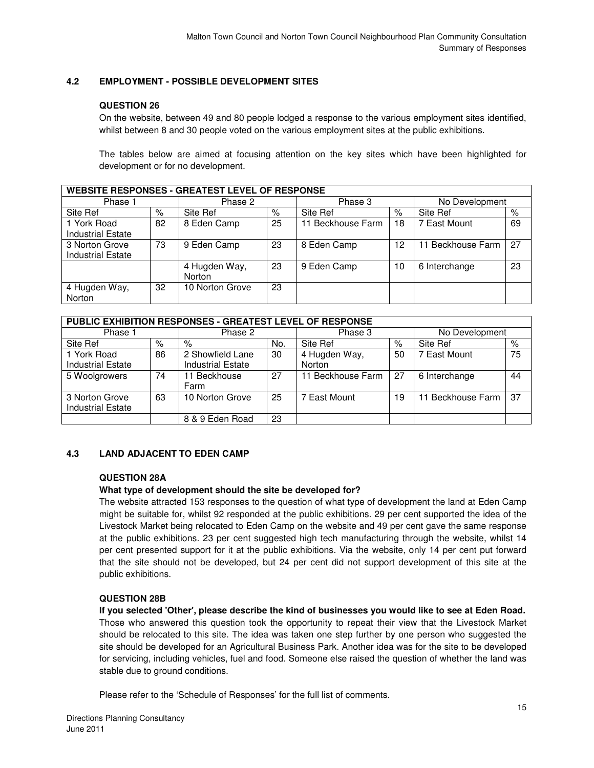# **4.2 EMPLOYMENT - POSSIBLE DEVELOPMENT SITES**

#### **QUESTION 26**

On the website, between 49 and 80 people lodged a response to the various employment sites identified, whilst between 8 and 30 people voted on the various employment sites at the public exhibitions.

The tables below are aimed at focusing attention on the key sites which have been highlighted for development or for no development.

| <b>WEBSITE RESPONSES - GREATEST LEVEL OF RESPONSE</b> |      |                 |    |                   |                      |                   |    |  |
|-------------------------------------------------------|------|-----------------|----|-------------------|----------------------|-------------------|----|--|
| Phase 1                                               |      | Phase 2         |    | Phase 3           |                      | No Development    |    |  |
| Site Ref                                              | $\%$ | Site Ref        | %  | Site Ref          | $\frac{1}{\sqrt{2}}$ | Site Ref          | %  |  |
| 1 York Road                                           | 82   | 8 Eden Camp     | 25 | 11 Beckhouse Farm | 18                   | 7 East Mount      | 69 |  |
| <b>Industrial Estate</b>                              |      |                 |    |                   |                      |                   |    |  |
| 3 Norton Grove                                        | 73   | 9 Eden Camp     | 23 | 8 Eden Camp       | 12                   | 11 Beckhouse Farm | 27 |  |
| <b>Industrial Estate</b>                              |      |                 |    |                   |                      |                   |    |  |
|                                                       |      | 4 Hugden Way,   | 23 | 9 Eden Camp       | 10                   | 6 Interchange     | 23 |  |
|                                                       |      | Norton          |    |                   |                      |                   |    |  |
| 4 Hugden Way,                                         | 32   | 10 Norton Grove | 23 |                   |                      |                   |    |  |
| Norton                                                |      |                 |    |                   |                      |                   |    |  |

| PUBLIC EXHIBITION RESPONSES - GREATEST LEVEL OF RESPONSE |    |                          |     |                   |                      |                   |      |  |  |
|----------------------------------------------------------|----|--------------------------|-----|-------------------|----------------------|-------------------|------|--|--|
| Phase 1                                                  |    | Phase 2                  |     | Phase 3           |                      | No Development    |      |  |  |
| Site Ref                                                 | %  | $\%$                     | No. | Site Ref          | $\frac{1}{\sqrt{2}}$ | Site Ref          | $\%$ |  |  |
| 1 York Road                                              | 86 | 2 Showfield Lane         | 30  | 4 Hugden Way,     | 50                   | 7 East Mount      | 75   |  |  |
| <b>Industrial Estate</b>                                 |    | <b>Industrial Estate</b> |     | Norton            |                      |                   |      |  |  |
| 5 Woolgrowers                                            | 74 | 11 Beckhouse             | 27  | 11 Beckhouse Farm | 27                   | 6 Interchange     | 44   |  |  |
|                                                          |    | Farm                     |     |                   |                      |                   |      |  |  |
| 3 Norton Grove                                           | 63 | 10 Norton Grove          | 25  | 7 East Mount      | 19                   | 11 Beckhouse Farm | -37  |  |  |
| <b>Industrial Estate</b>                                 |    |                          |     |                   |                      |                   |      |  |  |
|                                                          |    | 8 & 9 Eden Road          | 23  |                   |                      |                   |      |  |  |

#### **4.3 LAND ADJACENT TO EDEN CAMP**

#### **QUESTION 28A**

#### **What type of development should the site be developed for?**

The website attracted 153 responses to the question of what type of development the land at Eden Camp might be suitable for, whilst 92 responded at the public exhibitions. 29 per cent supported the idea of the Livestock Market being relocated to Eden Camp on the website and 49 per cent gave the same response at the public exhibitions. 23 per cent suggested high tech manufacturing through the website, whilst 14 per cent presented support for it at the public exhibitions. Via the website, only 14 per cent put forward that the site should not be developed, but 24 per cent did not support development of this site at the public exhibitions.

#### **QUESTION 28B**

**If you selected 'Other', please describe the kind of businesses you would like to see at Eden Road.**  Those who answered this question took the opportunity to repeat their view that the Livestock Market should be relocated to this site. The idea was taken one step further by one person who suggested the site should be developed for an Agricultural Business Park. Another idea was for the site to be developed for servicing, including vehicles, fuel and food. Someone else raised the question of whether the land was stable due to ground conditions.

Please refer to the 'Schedule of Responses' for the full list of comments.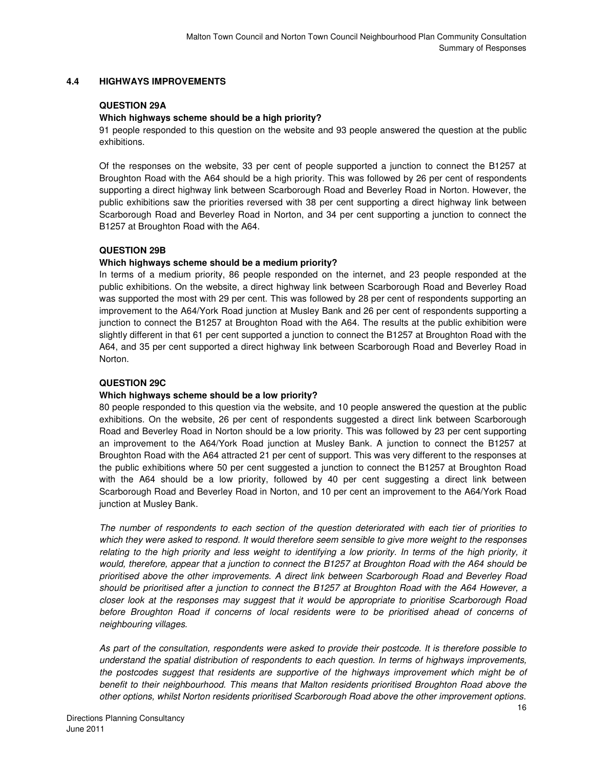#### **4.4 HIGHWAYS IMPROVEMENTS**

#### **QUESTION 29A**

#### **Which highways scheme should be a high priority?**

91 people responded to this question on the website and 93 people answered the question at the public exhibitions.

Of the responses on the website, 33 per cent of people supported a junction to connect the B1257 at Broughton Road with the A64 should be a high priority. This was followed by 26 per cent of respondents supporting a direct highway link between Scarborough Road and Beverley Road in Norton. However, the public exhibitions saw the priorities reversed with 38 per cent supporting a direct highway link between Scarborough Road and Beverley Road in Norton, and 34 per cent supporting a junction to connect the B1257 at Broughton Road with the A64.

#### **QUESTION 29B**

#### **Which highways scheme should be a medium priority?**

In terms of a medium priority, 86 people responded on the internet, and 23 people responded at the public exhibitions. On the website, a direct highway link between Scarborough Road and Beverley Road was supported the most with 29 per cent. This was followed by 28 per cent of respondents supporting an improvement to the A64/York Road junction at Musley Bank and 26 per cent of respondents supporting a junction to connect the B1257 at Broughton Road with the A64. The results at the public exhibition were slightly different in that 61 per cent supported a junction to connect the B1257 at Broughton Road with the A64, and 35 per cent supported a direct highway link between Scarborough Road and Beverley Road in Norton.

#### **QUESTION 29C**

#### **Which highways scheme should be a low priority?**

80 people responded to this question via the website, and 10 people answered the question at the public exhibitions. On the website, 26 per cent of respondents suggested a direct link between Scarborough Road and Beverley Road in Norton should be a low priority. This was followed by 23 per cent supporting an improvement to the A64/York Road junction at Musley Bank. A junction to connect the B1257 at Broughton Road with the A64 attracted 21 per cent of support. This was very different to the responses at the public exhibitions where 50 per cent suggested a junction to connect the B1257 at Broughton Road with the A64 should be a low priority, followed by 40 per cent suggesting a direct link between Scarborough Road and Beverley Road in Norton, and 10 per cent an improvement to the A64/York Road junction at Musley Bank.

The number of respondents to each section of the question deteriorated with each tier of priorities to which they were asked to respond. It would therefore seem sensible to give more weight to the responses relating to the high priority and less weight to identifying a low priority. In terms of the high priority, it would, therefore, appear that a junction to connect the B1257 at Broughton Road with the A64 should be prioritised above the other improvements. A direct link between Scarborough Road and Beverley Road should be prioritised after a junction to connect the B1257 at Broughton Road with the A64 However, a closer look at the responses may suggest that it would be appropriate to prioritise Scarborough Road before Broughton Road if concerns of local residents were to be prioritised ahead of concerns of neighbouring villages.

As part of the consultation, respondents were asked to provide their postcode. It is therefore possible to understand the spatial distribution of respondents to each question. In terms of highways improvements, the postcodes suggest that residents are supportive of the highways improvement which might be of benefit to their neighbourhood. This means that Malton residents prioritised Broughton Road above the other options, whilst Norton residents prioritised Scarborough Road above the other improvement options.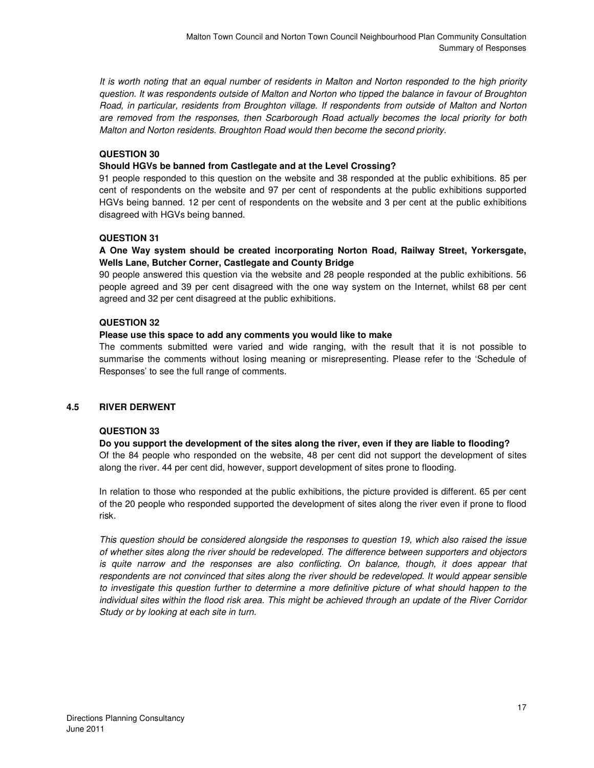It is worth noting that an equal number of residents in Malton and Norton responded to the high priority question. It was respondents outside of Malton and Norton who tipped the balance in favour of Broughton Road, in particular, residents from Broughton village. If respondents from outside of Malton and Norton are removed from the responses, then Scarborough Road actually becomes the local priority for both Malton and Norton residents. Broughton Road would then become the second priority.

# **QUESTION 30**

# **Should HGVs be banned from Castlegate and at the Level Crossing?**

91 people responded to this question on the website and 38 responded at the public exhibitions. 85 per cent of respondents on the website and 97 per cent of respondents at the public exhibitions supported HGVs being banned. 12 per cent of respondents on the website and 3 per cent at the public exhibitions disagreed with HGVs being banned.

# **QUESTION 31**

# **A One Way system should be created incorporating Norton Road, Railway Street, Yorkersgate, Wells Lane, Butcher Corner, Castlegate and County Bridge**

90 people answered this question via the website and 28 people responded at the public exhibitions. 56 people agreed and 39 per cent disagreed with the one way system on the Internet, whilst 68 per cent agreed and 32 per cent disagreed at the public exhibitions.

# **QUESTION 32**

# **Please use this space to add any comments you would like to make**

The comments submitted were varied and wide ranging, with the result that it is not possible to summarise the comments without losing meaning or misrepresenting. Please refer to the 'Schedule of Responses' to see the full range of comments.

#### **4.5 RIVER DERWENT**

#### **QUESTION 33**

#### **Do you support the development of the sites along the river, even if they are liable to flooding?**

Of the 84 people who responded on the website, 48 per cent did not support the development of sites along the river. 44 per cent did, however, support development of sites prone to flooding.

In relation to those who responded at the public exhibitions, the picture provided is different. 65 per cent of the 20 people who responded supported the development of sites along the river even if prone to flood risk.

This question should be considered alongside the responses to question 19, which also raised the issue of whether sites along the river should be redeveloped. The difference between supporters and objectors is quite narrow and the responses are also conflicting. On balance, though, it does appear that respondents are not convinced that sites along the river should be redeveloped. It would appear sensible to investigate this question further to determine a more definitive picture of what should happen to the individual sites within the flood risk area. This might be achieved through an update of the River Corridor Study or by looking at each site in turn.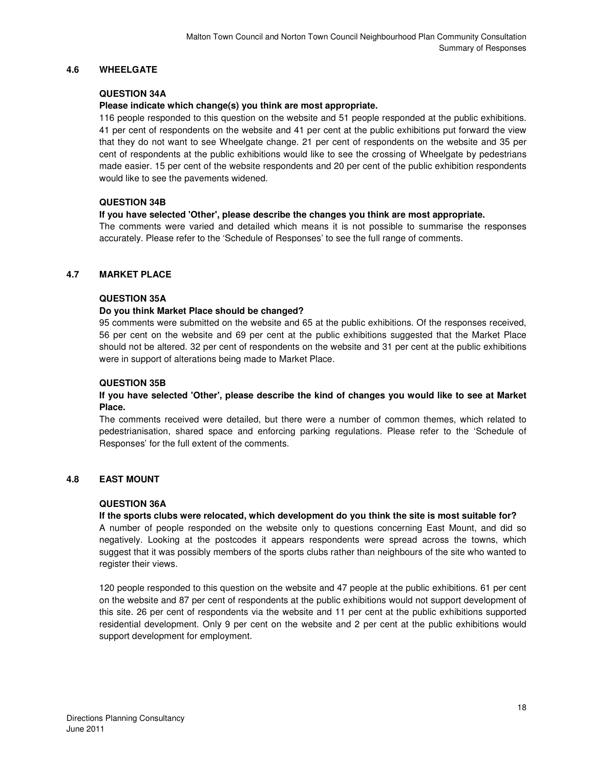# **4.6 WHEELGATE**

#### **QUESTION 34A**

#### **Please indicate which change(s) you think are most appropriate.**

116 people responded to this question on the website and 51 people responded at the public exhibitions. 41 per cent of respondents on the website and 41 per cent at the public exhibitions put forward the view that they do not want to see Wheelgate change. 21 per cent of respondents on the website and 35 per cent of respondents at the public exhibitions would like to see the crossing of Wheelgate by pedestrians made easier. 15 per cent of the website respondents and 20 per cent of the public exhibition respondents would like to see the pavements widened.

#### **QUESTION 34B**

#### **If you have selected 'Other', please describe the changes you think are most appropriate.**

The comments were varied and detailed which means it is not possible to summarise the responses accurately. Please refer to the 'Schedule of Responses' to see the full range of comments.

#### **4.7 MARKET PLACE**

# **QUESTION 35A**

#### **Do you think Market Place should be changed?**

95 comments were submitted on the website and 65 at the public exhibitions. Of the responses received, 56 per cent on the website and 69 per cent at the public exhibitions suggested that the Market Place should not be altered. 32 per cent of respondents on the website and 31 per cent at the public exhibitions were in support of alterations being made to Market Place.

#### **QUESTION 35B**

#### **If you have selected 'Other', please describe the kind of changes you would like to see at Market Place.**

The comments received were detailed, but there were a number of common themes, which related to pedestrianisation, shared space and enforcing parking regulations. Please refer to the 'Schedule of Responses' for the full extent of the comments.

#### **4.8 EAST MOUNT**

#### **QUESTION 36A**

#### **If the sports clubs were relocated, which development do you think the site is most suitable for?**

A number of people responded on the website only to questions concerning East Mount, and did so negatively. Looking at the postcodes it appears respondents were spread across the towns, which suggest that it was possibly members of the sports clubs rather than neighbours of the site who wanted to register their views.

120 people responded to this question on the website and 47 people at the public exhibitions. 61 per cent on the website and 87 per cent of respondents at the public exhibitions would not support development of this site. 26 per cent of respondents via the website and 11 per cent at the public exhibitions supported residential development. Only 9 per cent on the website and 2 per cent at the public exhibitions would support development for employment.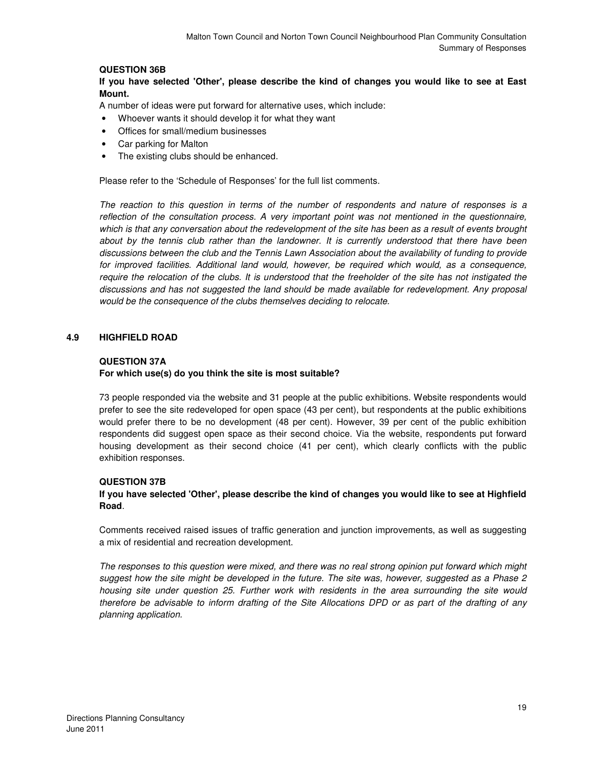# **QUESTION 36B**

**If you have selected 'Other', please describe the kind of changes you would like to see at East Mount.** 

A number of ideas were put forward for alternative uses, which include:

- Whoever wants it should develop it for what they want
- Offices for small/medium businesses
- Car parking for Malton
- The existing clubs should be enhanced.

Please refer to the 'Schedule of Responses' for the full list comments.

The reaction to this question in terms of the number of respondents and nature of responses is a reflection of the consultation process. A very important point was not mentioned in the questionnaire, which is that any conversation about the redevelopment of the site has been as a result of events brought about by the tennis club rather than the landowner. It is currently understood that there have been discussions between the club and the Tennis Lawn Association about the availability of funding to provide for improved facilities. Additional land would, however, be required which would, as a consequence, require the relocation of the clubs. It is understood that the freeholder of the site has not instigated the discussions and has not suggested the land should be made available for redevelopment. Any proposal would be the consequence of the clubs themselves deciding to relocate.

#### **4.9 HIGHFIELD ROAD**

#### **QUESTION 37A**

#### **For which use(s) do you think the site is most suitable?**

73 people responded via the website and 31 people at the public exhibitions. Website respondents would prefer to see the site redeveloped for open space (43 per cent), but respondents at the public exhibitions would prefer there to be no development (48 per cent). However, 39 per cent of the public exhibition respondents did suggest open space as their second choice. Via the website, respondents put forward housing development as their second choice (41 per cent), which clearly conflicts with the public exhibition responses.

#### **QUESTION 37B**

#### **If you have selected 'Other', please describe the kind of changes you would like to see at Highfield Road**.

Comments received raised issues of traffic generation and junction improvements, as well as suggesting a mix of residential and recreation development.

The responses to this question were mixed, and there was no real strong opinion put forward which might suggest how the site might be developed in the future. The site was, however, suggested as a Phase 2 housing site under question 25. Further work with residents in the area surrounding the site would therefore be advisable to inform drafting of the Site Allocations DPD or as part of the drafting of any planning application.